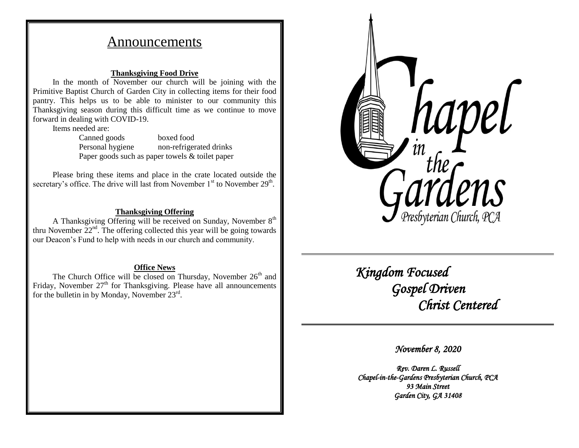# Announcements

## **Thanksgiving Food Drive**

In the month of November our church will be joining with the Primitive Baptist Church of Garden City in collecting items for their food pantry. This helps us to be able to minister to our community this Thanksgiving season during this difficult time as we continue to move forward in dealing with COVID-19.

Items needed are:

Canned goods boxed food Personal hygiene non-refrigerated drinks Paper goods such as paper towels & toilet paper

Please bring these items and place in the crate located outside the secretary's office. The drive will last from November  $1<sup>st</sup>$  to November  $29<sup>th</sup>$ .

# **Thanksgiving Offering**

A Thanksgiving Offering will be received on Sunday, November  $8<sup>th</sup>$ thru November  $22<sup>nd</sup>$ . The offering collected this year will be going towards our Deacon's Fund to help with needs in our church and community.

## **Office News**

The Church Office will be closed on Thursday, November  $26<sup>th</sup>$  and Friday, November  $27<sup>th</sup>$  for Thanksgiving. Please have all announcements for the bulletin in by Monday, November 23rd.



 *Kingdom Focused Gospel Driven Christ Centered* 

*November 8, 2020* 

*Rev. Daren L. Russell Chapel-in-the-Gardens Presbyterian Church, PCA 93 Main Street Garden City, GA 31408*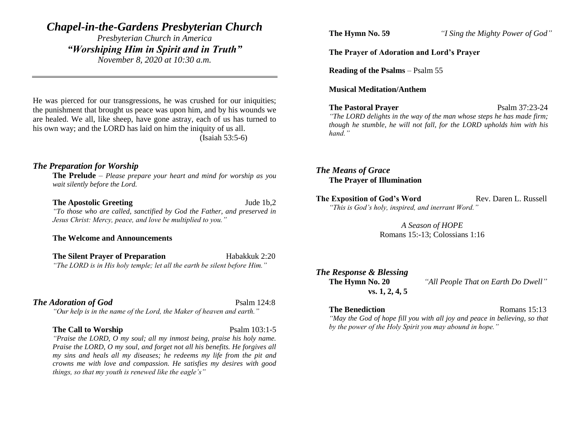# *Chapel-in-the-Gardens Presbyterian Church*

*Presbyterian Church in America "Worshiping Him in Spirit and in Truth" November 8, 2020 at 10:30 a.m.*

He was pierced for our transgressions, he was crushed for our iniquities; the punishment that brought us peace was upon him, and by his wounds we are healed. We all, like sheep, have gone astray, each of us has turned to his own way; and the LORD has laid on him the iniquity of us all. (Isaiah 53:5-6)

## *The Preparation for Worship*

**The Prelude** – *Please prepare your heart and mind for worship as you wait silently before the Lord.*

#### **The Apostolic Greeting Jude 1b,2**

*"To those who are called, sanctified by God the Father, and preserved in Jesus Christ: Mercy, peace, and love be multiplied to you."*

#### **The Welcome and Announcements**

**The Silent Prayer of Preparation** Habakkuk 2:20 *"The LORD is in His holy temple; let all the earth be silent before Him."*

### **The Adoration of God** Psalm 124:8

*"Our help is in the name of the Lord, the Maker of heaven and earth."*

#### **The Call to Worship** Psalm 103:1-5

*"Praise the LORD, O my soul; all my inmost being, praise his holy name. Praise the LORD, O my soul, and forget not all his benefits. He forgives all my sins and heals all my diseases; he redeems my life from the pit and crowns me with love and compassion. He satisfies my desires with good things, so that my youth is renewed like the eagle's"*

**The Hymn No. 59** *"I Sing the Mighty Power of God"*

## **The Prayer of Adoration and Lord's Prayer**

**Reading of the Psalms** – Psalm 55

#### **Musical Meditation/Anthem**

### **The Pastoral Prayer** Psalm 37:23-24

*"The LORD delights in the way of the man whose steps he has made firm; though he stumble, he will not fall, for the LORD upholds him with his hand."*

*The Means of Grace* **The Prayer of Illumination**

**The Exposition of God's Word Rev. Daren L. Russell** *"This is God's holy, inspired, and inerrant Word."*

> *A Season of HOPE* Romans 15:-13; Colossians 1:16

*The Response & Blessing* **vs. 1, 2, 4, 5**

**The Hymn No. 20** *"All People That on Earth Do Dwell"*

### **The Benediction** Romans 15:13

*"May the God of hope fill you with all joy and peace in believing, so that by the power of the Holy Spirit you may abound in hope."*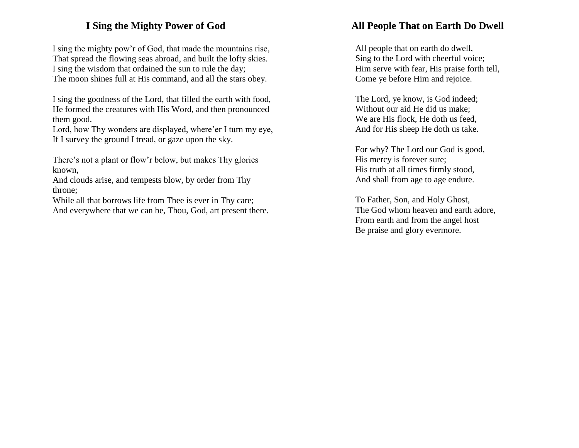# **I Sing the Mighty Power of God**

I sing the mighty pow'r of God, that made the mountains rise, That spread the flowing seas abroad, and built the lofty skies. I sing the wisdom that ordained the sun to rule the day; The moon shines full at His command, and all the stars obey.

I sing the goodness of the Lord, that filled the earth with food, He formed the creatures with His Word, and then pronounced them good.

Lord, how Thy wonders are displayed, where'er I turn my eye, If I survey the ground I tread, or gaze upon the sky.

There's not a plant or flow'r below, but makes Thy glories known,

And clouds arise, and tempests blow, by order from Thy throne;

While all that borrows life from Thee is ever in Thy care; And everywhere that we can be, Thou, God, art present there.

# **All People That on Earth Do Dwell**

All people that on earth do dwell, Sing to the Lord with cheerful voice; Him serve with fear, His praise forth tell, Come ye before Him and rejoice.

The Lord, ye know, is God indeed; Without our aid He did us make; We are His flock, He doth us feed, And for His sheep He doth us take.

For why? The Lord our God is good, His mercy is forever sure; His truth at all times firmly stood, And shall from age to age endure.

To Father, Son, and Holy Ghost, The God whom heaven and earth adore, From earth and from the angel host Be praise and glory evermore.